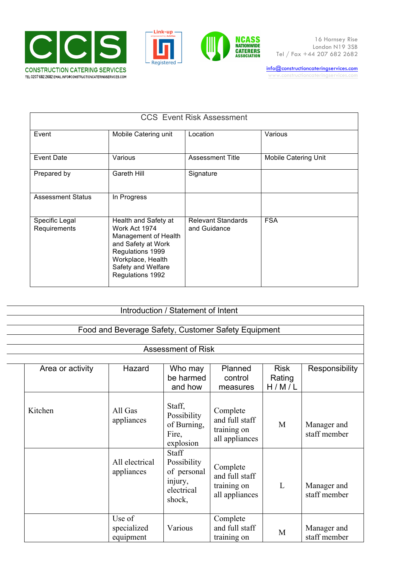





info@constructioncateringservices.com www.constructioncateringservices.com

| <b>CCS</b> Event Risk Assessment |                                                                                                                                                                        |                                           |                             |  |  |  |  |
|----------------------------------|------------------------------------------------------------------------------------------------------------------------------------------------------------------------|-------------------------------------------|-----------------------------|--|--|--|--|
| Event                            | Mobile Catering unit                                                                                                                                                   | Location                                  | Various                     |  |  |  |  |
| Event Date                       | Various                                                                                                                                                                | <b>Assessment Title</b>                   | <b>Mobile Catering Unit</b> |  |  |  |  |
| Prepared by                      | Gareth Hill                                                                                                                                                            | Signature                                 |                             |  |  |  |  |
| <b>Assessment Status</b>         | In Progress                                                                                                                                                            |                                           |                             |  |  |  |  |
| Specific Legal<br>Requirements   | Health and Safety at<br>Work Act 1974<br>Management of Health<br>and Safety at Work<br>Regulations 1999<br>Workplace, Health<br>Safety and Welfare<br>Regulations 1992 | <b>Relevant Standards</b><br>and Guidance | <b>FSA</b>                  |  |  |  |  |

| Introduction / Statement of Intent |                                                     |                                                                        |                                                             |                                |                             |  |  |
|------------------------------------|-----------------------------------------------------|------------------------------------------------------------------------|-------------------------------------------------------------|--------------------------------|-----------------------------|--|--|
|                                    | Food and Beverage Safety, Customer Safety Equipment |                                                                        |                                                             |                                |                             |  |  |
|                                    |                                                     | <b>Assessment of Risk</b>                                              |                                                             |                                |                             |  |  |
| Area or activity                   | Hazard                                              | Who may<br>be harmed<br>and how                                        | Planned<br>control<br>measures                              | <b>Risk</b><br>Rating<br>H/M/L | Responsibility              |  |  |
| Kitchen                            | All Gas<br>appliances                               | Staff,<br>Possibility<br>of Burning,<br>Fire,<br>explosion             | Complete<br>and full staff<br>training on<br>all appliances | M                              | Manager and<br>staff member |  |  |
|                                    | All electrical<br>appliances                        | Staff<br>Possibility<br>of personal<br>injury,<br>electrical<br>shock, | Complete<br>and full staff<br>training on<br>all appliances | $\mathbf{L}$                   | Manager and<br>staff member |  |  |
|                                    | Use of<br>specialized<br>equipment                  | Various                                                                | Complete<br>and full staff<br>training on                   | M                              | Manager and<br>staff member |  |  |